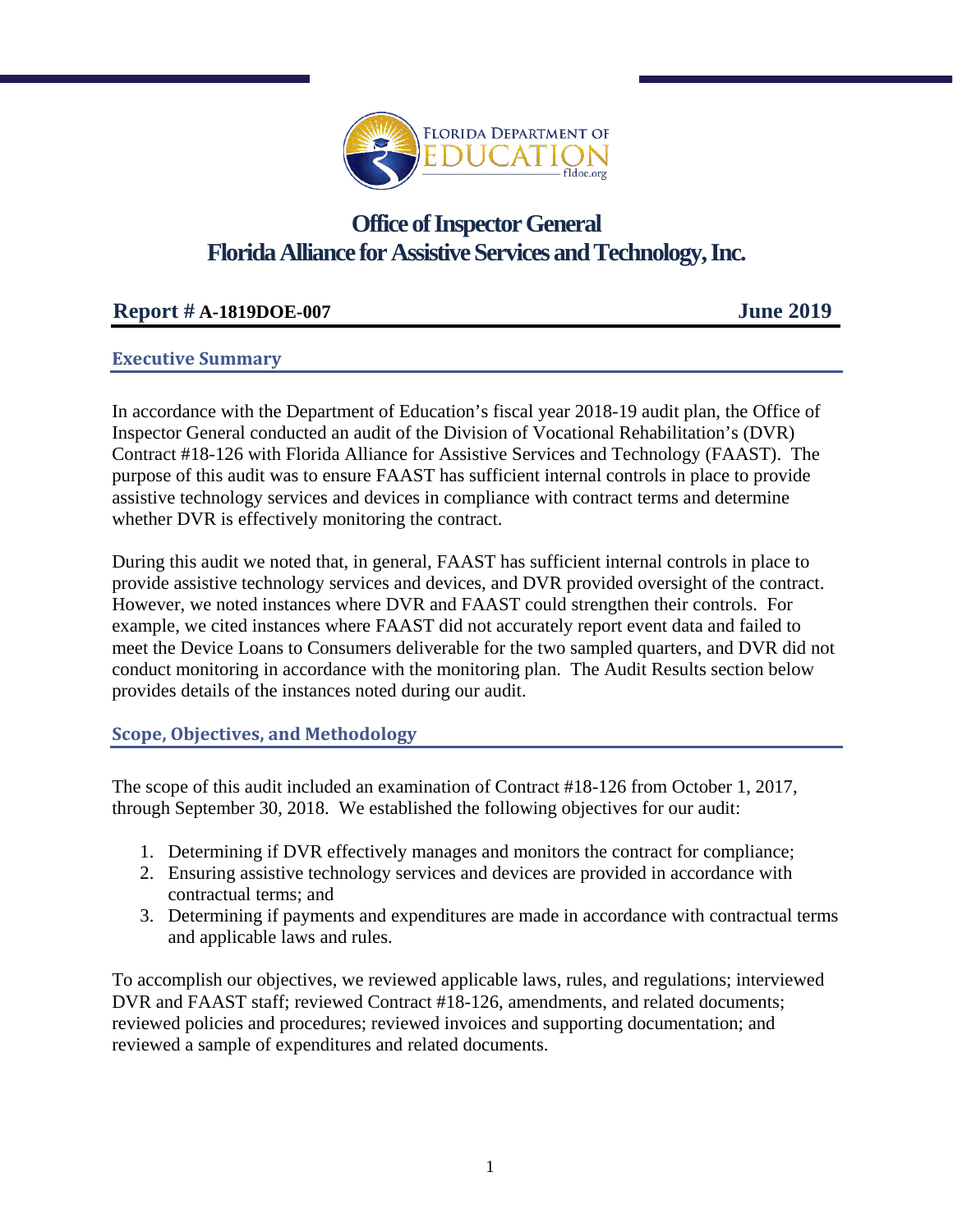

# **Office of Inspector General Florida Alliance for Assistive Services and Technology, Inc.**

## **Report # A-1819DOE-007 June 2019**

## **Executive Summary**

In accordance with the Department of Education's fiscal year 2018-19 audit plan, the Office of Inspector General conducted an audit of the Division of Vocational Rehabilitation's (DVR) Contract #18-126 with Florida Alliance for Assistive Services and Technology (FAAST). The purpose of this audit was to ensure FAAST has sufficient internal controls in place to provide assistive technology services and devices in compliance with contract terms and determine whether DVR is effectively monitoring the contract.

During this audit we noted that, in general, FAAST has sufficient internal controls in place to provide assistive technology services and devices, and DVR provided oversight of the contract. However, we noted instances where DVR and FAAST could strengthen their controls. For example, we cited instances where FAAST did not accurately report event data and failed to meet the Device Loans to Consumers deliverable for the two sampled quarters, and DVR did not conduct monitoring in accordance with the monitoring plan. The Audit Results section below provides details of the instances noted during our audit.

## **Scope, Objectives, and Methodology**

The scope of this audit included an examination of Contract #18-126 from October 1, 2017, through September 30, 2018. We established the following objectives for our audit:

- 1. Determining if DVR effectively manages and monitors the contract for compliance;
- 2. Ensuring assistive technology services and devices are provided in accordance with contractual terms; and
- 3. Determining if payments and expenditures are made in accordance with contractual terms and applicable laws and rules.

To accomplish our objectives, we reviewed applicable laws, rules, and regulations; interviewed DVR and FAAST staff; reviewed Contract #18-126, amendments, and related documents; reviewed policies and procedures; reviewed invoices and supporting documentation; and reviewed a sample of expenditures and related documents.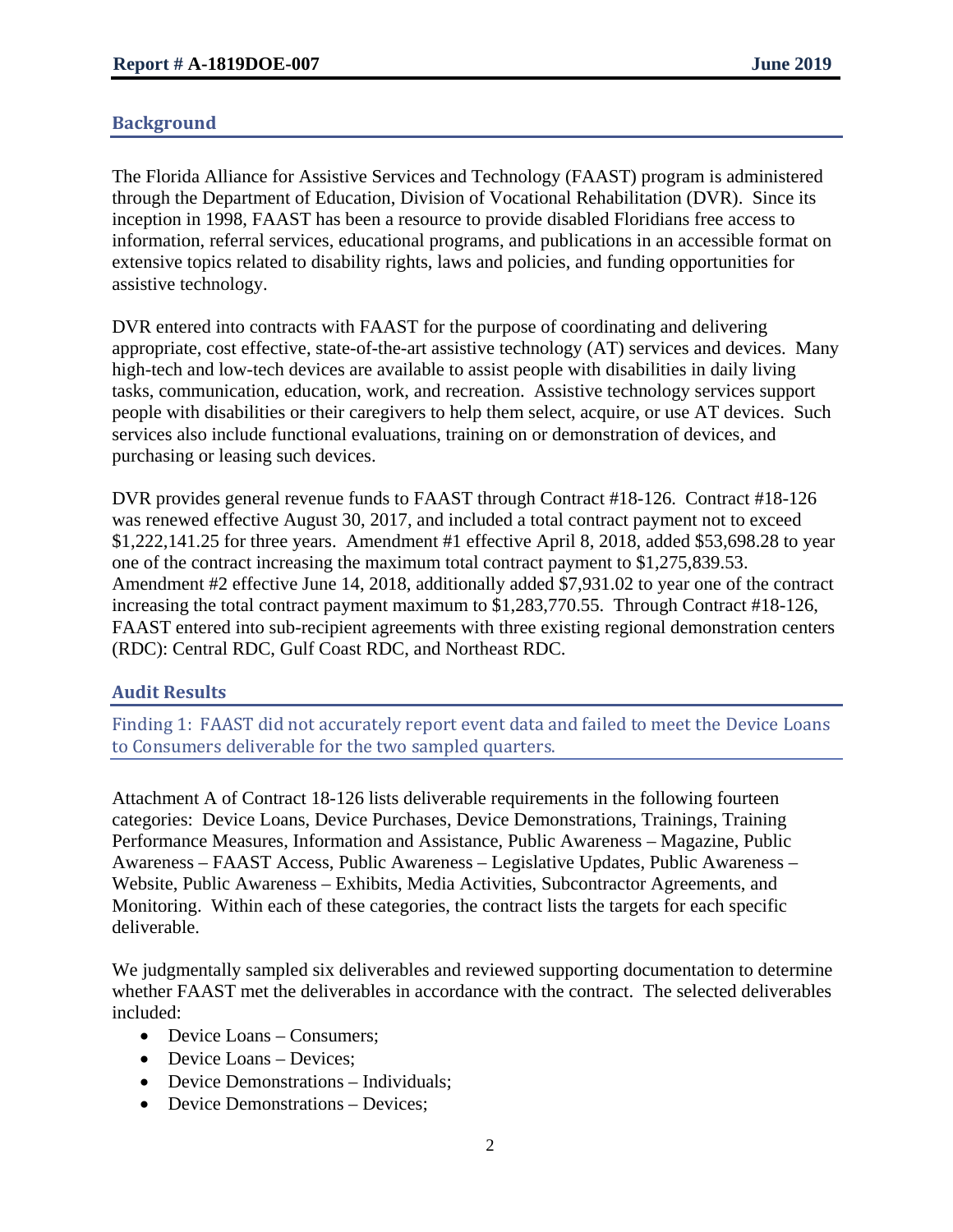## **Background**

The Florida Alliance for Assistive Services and Technology (FAAST) program is administered through the Department of Education, Division of Vocational Rehabilitation (DVR). Since its inception in 1998, FAAST has been a resource to provide disabled Floridians free access to information, referral services, educational programs, and publications in an accessible format on extensive topics related to disability rights, laws and policies, and funding opportunities for assistive technology.

DVR entered into contracts with FAAST for the purpose of coordinating and delivering appropriate, cost effective, state-of-the-art assistive technology (AT) services and devices. Many high-tech and low-tech devices are available to assist people with disabilities in daily living tasks, communication, education, work, and recreation. Assistive technology services support people with disabilities or their caregivers to help them select, acquire, or use AT devices. Such services also include functional evaluations, training on or demonstration of devices, and purchasing or leasing such devices.

DVR provides general revenue funds to FAAST through Contract #18-126. Contract #18-126 was renewed effective August 30, 2017, and included a total contract payment not to exceed \$1,222,141.25 for three years. Amendment #1 effective April 8, 2018, added \$53,698.28 to year one of the contract increasing the maximum total contract payment to \$1,275,839.53. Amendment #2 effective June 14, 2018, additionally added \$7,931.02 to year one of the contract increasing the total contract payment maximum to \$1,283,770.55. Through Contract #18-126, FAAST entered into sub-recipient agreements with three existing regional demonstration centers (RDC): Central RDC, Gulf Coast RDC, and Northeast RDC.

## **Audit Results**

Finding 1: FAAST did not accurately report event data and failed to meet the Device Loans to Consumers deliverable for the two sampled quarters.

Attachment A of Contract 18-126 lists deliverable requirements in the following fourteen categories: Device Loans, Device Purchases, Device Demonstrations, Trainings, Training Performance Measures, Information and Assistance, Public Awareness – Magazine, Public Awareness – FAAST Access, Public Awareness – Legislative Updates, Public Awareness – Website, Public Awareness – Exhibits, Media Activities, Subcontractor Agreements, and Monitoring. Within each of these categories, the contract lists the targets for each specific deliverable.

We judgmentally sampled six deliverables and reviewed supporting documentation to determine whether FAAST met the deliverables in accordance with the contract. The selected deliverables included:

- Device Loans Consumers;
- Device Loans Devices;
- Device Demonstrations Individuals;
- Device Demonstrations Devices;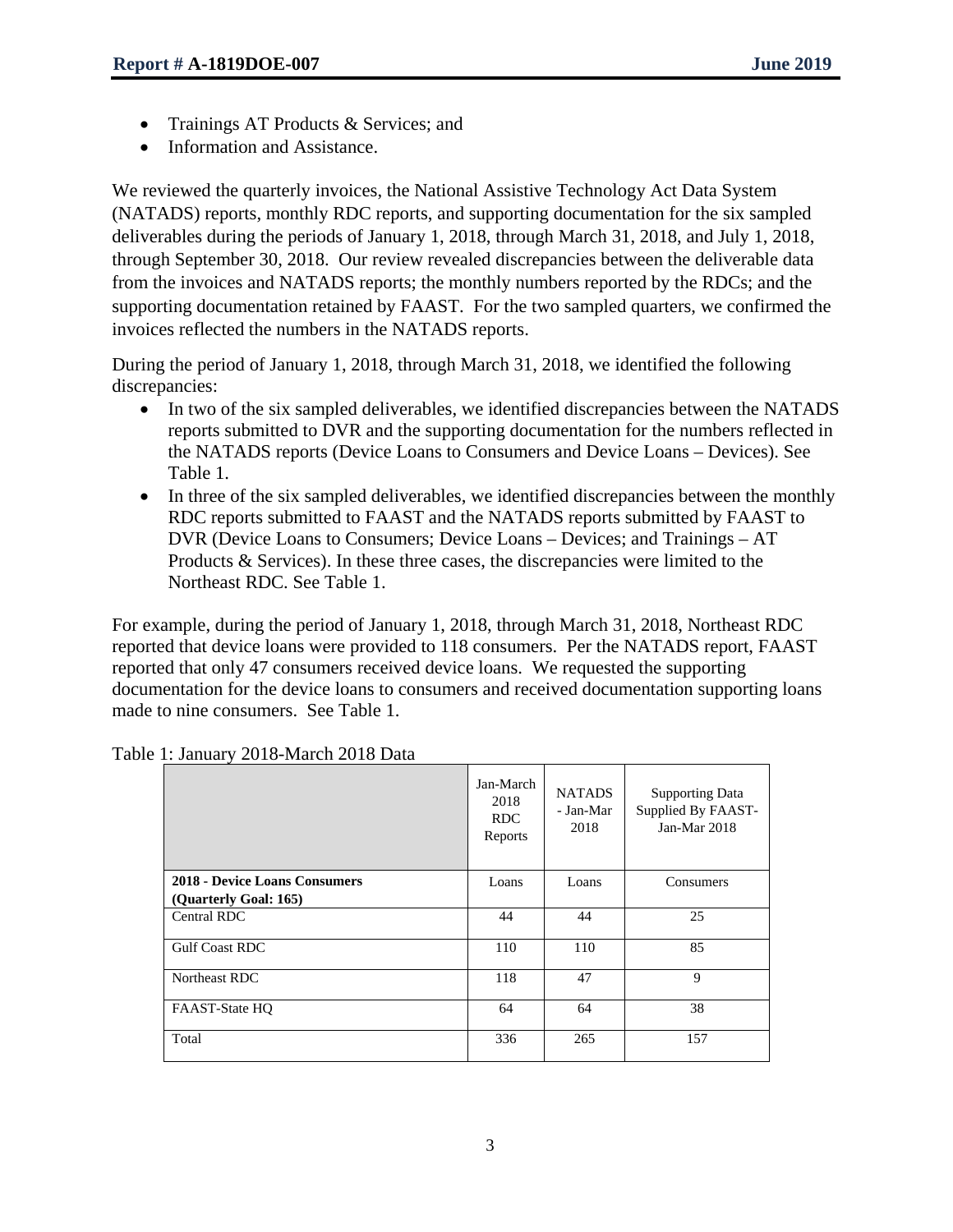- Trainings AT Products & Services; and
- Information and Assistance.

We reviewed the quarterly invoices, the National Assistive Technology Act Data System (NATADS) reports, monthly RDC reports, and supporting documentation for the six sampled deliverables during the periods of January 1, 2018, through March 31, 2018, and July 1, 2018, through September 30, 2018. Our review revealed discrepancies between the deliverable data from the invoices and NATADS reports; the monthly numbers reported by the RDCs; and the supporting documentation retained by FAAST. For the two sampled quarters, we confirmed the invoices reflected the numbers in the NATADS reports.

During the period of January 1, 2018, through March 31, 2018, we identified the following discrepancies:

- In two of the six sampled deliverables, we identified discrepancies between the NATADS reports submitted to DVR and the supporting documentation for the numbers reflected in the NATADS reports (Device Loans to Consumers and Device Loans – Devices). See Table 1.
- In three of the six sampled deliverables, we identified discrepancies between the monthly RDC reports submitted to FAAST and the NATADS reports submitted by FAAST to DVR (Device Loans to Consumers; Device Loans – Devices; and Trainings – AT Products & Services). In these three cases, the discrepancies were limited to the Northeast RDC. See Table 1.

For example, during the period of January 1, 2018, through March 31, 2018, Northeast RDC reported that device loans were provided to 118 consumers. Per the NATADS report, FAAST reported that only 47 consumers received device loans. We requested the supporting documentation for the device loans to consumers and received documentation supporting loans made to nine consumers. See Table 1.

|                                                        | Jan-March<br>2018<br>RDC.<br>Reports | <b>NATADS</b><br>- Jan-Mar<br>2018 | <b>Supporting Data</b><br>Supplied By FAAST-<br>Jan-Mar $2018$ |
|--------------------------------------------------------|--------------------------------------|------------------------------------|----------------------------------------------------------------|
| 2018 - Device Loans Consumers<br>(Quarterly Goal: 165) | Loans                                | Loans                              | Consumers                                                      |
| Central RDC                                            | 44                                   | 44                                 | 25                                                             |
| <b>Gulf Coast RDC</b>                                  | 110                                  | 110                                | 85                                                             |
| Northeast RDC                                          | 118                                  | 47                                 | 9                                                              |
| FAAST-State HQ                                         | 64                                   | 64                                 | 38                                                             |
| Total                                                  | 336                                  | 265                                | 157                                                            |

Table 1: January 2018-March 2018 Data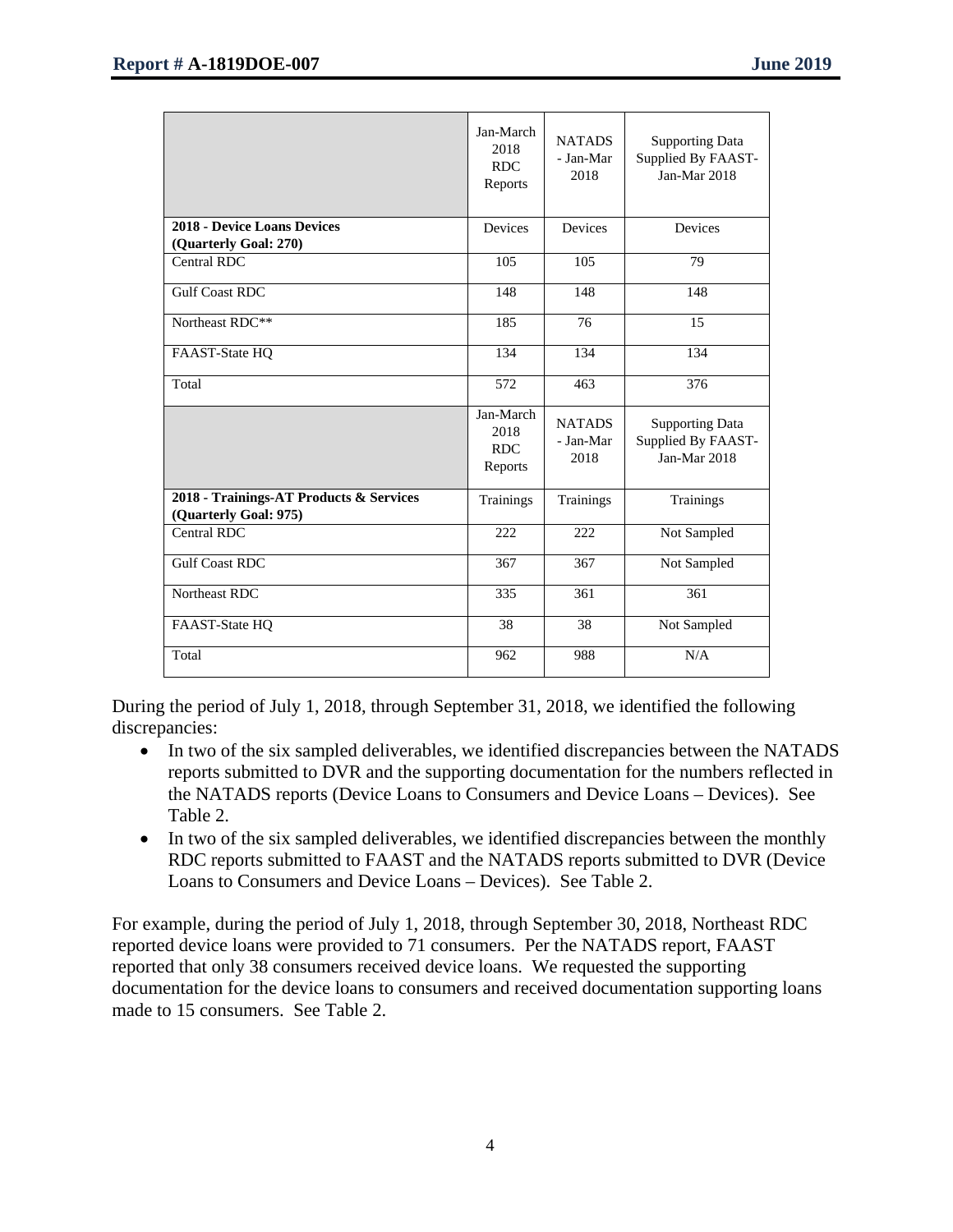|                                                                  | Jan-March<br>2018<br><b>RDC</b><br>Reports | <b>NATADS</b><br>- Jan-Mar<br>2018 | <b>Supporting Data</b><br>Supplied By FAAST-<br>Jan-Mar 2018 |
|------------------------------------------------------------------|--------------------------------------------|------------------------------------|--------------------------------------------------------------|
| <b>2018 - Device Loans Devices</b><br>(Quarterly Goal: 270)      | Devices                                    | Devices                            | Devices                                                      |
| <b>Central RDC</b>                                               | 105                                        | 105                                | 79                                                           |
| <b>Gulf Coast RDC</b>                                            | 148                                        | 148                                | 148                                                          |
| Northeast RDC**                                                  | 185                                        | 76                                 | 15                                                           |
| FAAST-State HQ                                                   | 134                                        | 134                                | 134                                                          |
| Total                                                            | 572                                        | 463                                | 376                                                          |
|                                                                  | Jan-March<br>2018<br><b>RDC</b><br>Reports | <b>NATADS</b><br>- Jan-Mar<br>2018 | <b>Supporting Data</b><br>Supplied By FAAST-<br>Jan-Mar 2018 |
| 2018 - Trainings-AT Products & Services<br>(Quarterly Goal: 975) | <b>Trainings</b>                           | <b>Trainings</b>                   | Trainings                                                    |
| Central RDC                                                      | 222                                        | 222                                | Not Sampled                                                  |
| <b>Gulf Coast RDC</b>                                            | 367                                        | 367                                | Not Sampled                                                  |
| Northeast RDC                                                    | $\overline{335}$                           | 361                                | $\overline{361}$                                             |
| FAAST-State HQ                                                   | 38                                         | 38                                 | Not Sampled                                                  |
| Total                                                            | 962                                        | 988                                | N/A                                                          |

During the period of July 1, 2018, through September 31, 2018, we identified the following discrepancies:

- In two of the six sampled deliverables, we identified discrepancies between the NATADS reports submitted to DVR and the supporting documentation for the numbers reflected in the NATADS reports (Device Loans to Consumers and Device Loans – Devices). See Table 2.
- In two of the six sampled deliverables, we identified discrepancies between the monthly RDC reports submitted to FAAST and the NATADS reports submitted to DVR (Device Loans to Consumers and Device Loans – Devices). See Table 2.

For example, during the period of July 1, 2018, through September 30, 2018, Northeast RDC reported device loans were provided to 71 consumers. Per the NATADS report, FAAST reported that only 38 consumers received device loans. We requested the supporting documentation for the device loans to consumers and received documentation supporting loans made to 15 consumers. See Table 2.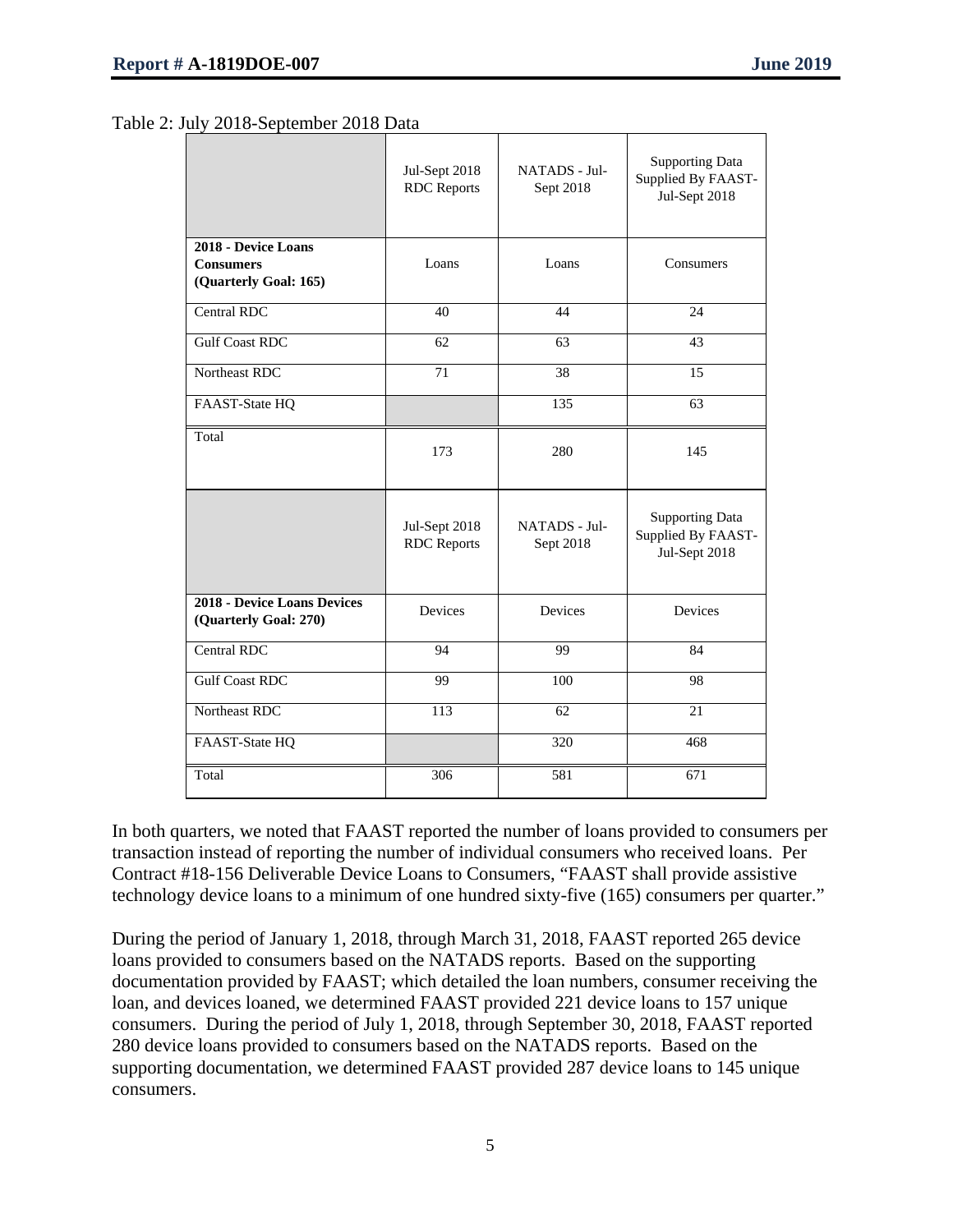#### Table 2: July 2018-September 2018 Data

|                                                                  | Jul-Sept 2018<br><b>RDC</b> Reports | NATADS - Jul-<br>Sept 2018 | <b>Supporting Data</b><br>Supplied By FAAST-<br>Jul-Sept 2018 |
|------------------------------------------------------------------|-------------------------------------|----------------------------|---------------------------------------------------------------|
| 2018 - Device Loans<br><b>Consumers</b><br>(Quarterly Goal: 165) | Loans                               | Loans                      | Consumers                                                     |
| <b>Central RDC</b>                                               | 40                                  | 44                         | 24                                                            |
| <b>Gulf Coast RDC</b>                                            | 62                                  | 63                         | 43                                                            |
| Northeast RDC                                                    | 71                                  | 38                         | 15                                                            |
| FAAST-State HQ                                                   |                                     | 135                        | 63                                                            |
| Total                                                            | 173                                 | 280                        | 145                                                           |
|                                                                  | Jul-Sept 2018<br><b>RDC</b> Reports | NATADS - Jul-<br>Sept 2018 | <b>Supporting Data</b><br>Supplied By FAAST-<br>Jul-Sept 2018 |
| <b>2018 - Device Loans Devices</b><br>(Quarterly Goal: 270)      | Devices                             | Devices                    | Devices                                                       |
| Central RDC                                                      | 94                                  | 99                         | 84                                                            |
| <b>Gulf Coast RDC</b>                                            | 99                                  | $\overline{100}$           | 98                                                            |
| Northeast RDC                                                    | 113                                 | 62                         | 21                                                            |
| FAAST-State HQ                                                   |                                     | 320                        | 468                                                           |
| Total                                                            | 306                                 | 581                        | 671                                                           |

In both quarters, we noted that FAAST reported the number of loans provided to consumers per transaction instead of reporting the number of individual consumers who received loans. Per Contract #18-156 Deliverable Device Loans to Consumers, "FAAST shall provide assistive technology device loans to a minimum of one hundred sixty-five (165) consumers per quarter."

During the period of January 1, 2018, through March 31, 2018, FAAST reported 265 device loans provided to consumers based on the NATADS reports. Based on the supporting documentation provided by FAAST; which detailed the loan numbers, consumer receiving the loan, and devices loaned, we determined FAAST provided 221 device loans to 157 unique consumers. During the period of July 1, 2018, through September 30, 2018, FAAST reported 280 device loans provided to consumers based on the NATADS reports. Based on the supporting documentation, we determined FAAST provided 287 device loans to 145 unique consumers.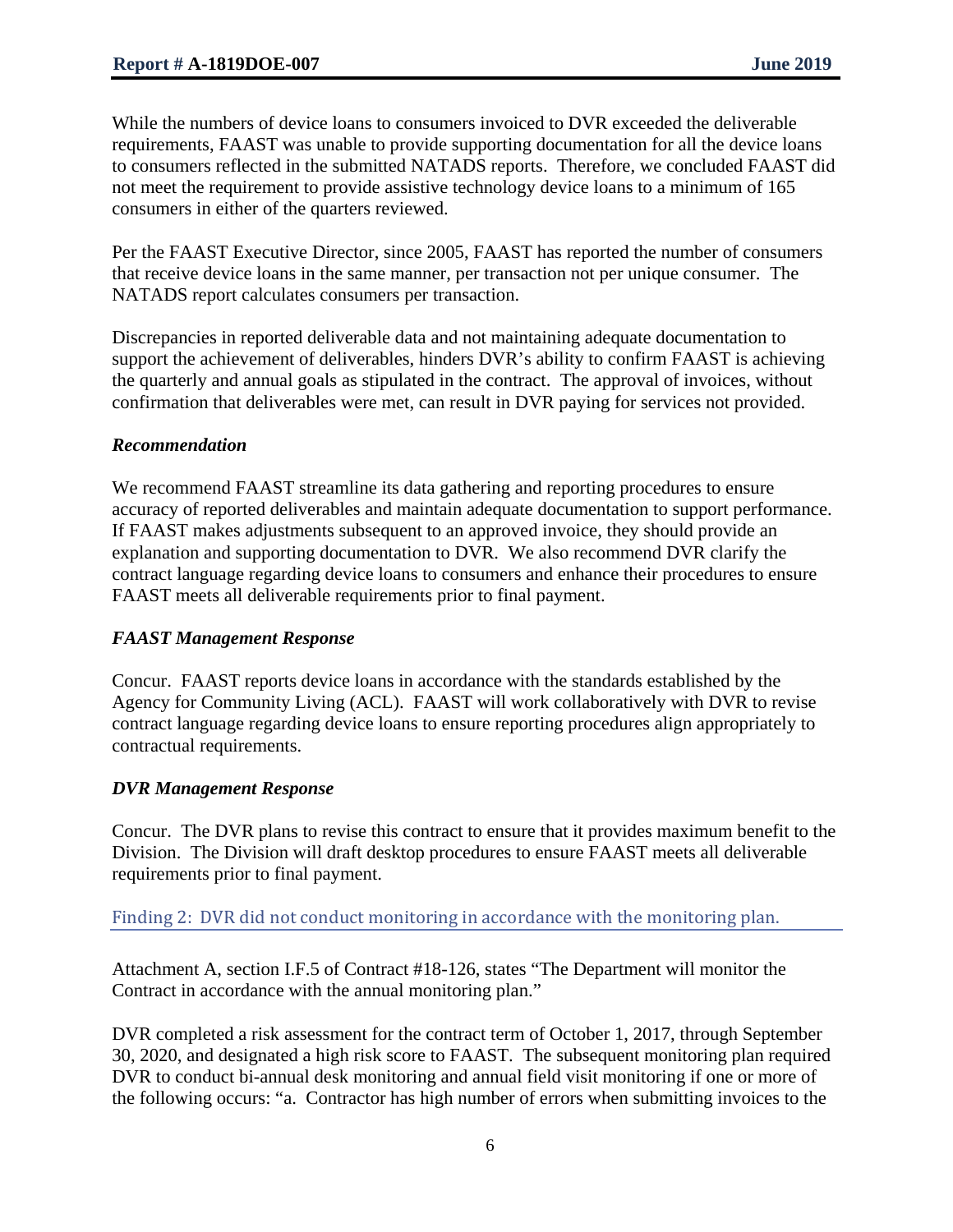While the numbers of device loans to consumers invoiced to DVR exceeded the deliverable requirements, FAAST was unable to provide supporting documentation for all the device loans to consumers reflected in the submitted NATADS reports. Therefore, we concluded FAAST did not meet the requirement to provide assistive technology device loans to a minimum of 165 consumers in either of the quarters reviewed.

Per the FAAST Executive Director, since 2005, FAAST has reported the number of consumers that receive device loans in the same manner, per transaction not per unique consumer. The NATADS report calculates consumers per transaction.

Discrepancies in reported deliverable data and not maintaining adequate documentation to support the achievement of deliverables, hinders DVR's ability to confirm FAAST is achieving the quarterly and annual goals as stipulated in the contract. The approval of invoices, without confirmation that deliverables were met, can result in DVR paying for services not provided.

#### *Recommendation*

We recommend FAAST streamline its data gathering and reporting procedures to ensure accuracy of reported deliverables and maintain adequate documentation to support performance. If FAAST makes adjustments subsequent to an approved invoice, they should provide an explanation and supporting documentation to DVR. We also recommend DVR clarify the contract language regarding device loans to consumers and enhance their procedures to ensure FAAST meets all deliverable requirements prior to final payment.

#### *FAAST Management Response*

Concur. FAAST reports device loans in accordance with the standards established by the Agency for Community Living (ACL). FAAST will work collaboratively with DVR to revise contract language regarding device loans to ensure reporting procedures align appropriately to contractual requirements.

#### *DVR Management Response*

Concur. The DVR plans to revise this contract to ensure that it provides maximum benefit to the Division. The Division will draft desktop procedures to ensure FAAST meets all deliverable requirements prior to final payment.

#### Finding 2: DVR did not conduct monitoring in accordance with the monitoring plan.

Attachment A, section I.F.5 of Contract #18-126, states "The Department will monitor the Contract in accordance with the annual monitoring plan."

DVR completed a risk assessment for the contract term of October 1, 2017, through September 30, 2020, and designated a high risk score to FAAST. The subsequent monitoring plan required DVR to conduct bi-annual desk monitoring and annual field visit monitoring if one or more of the following occurs: "a. Contractor has high number of errors when submitting invoices to the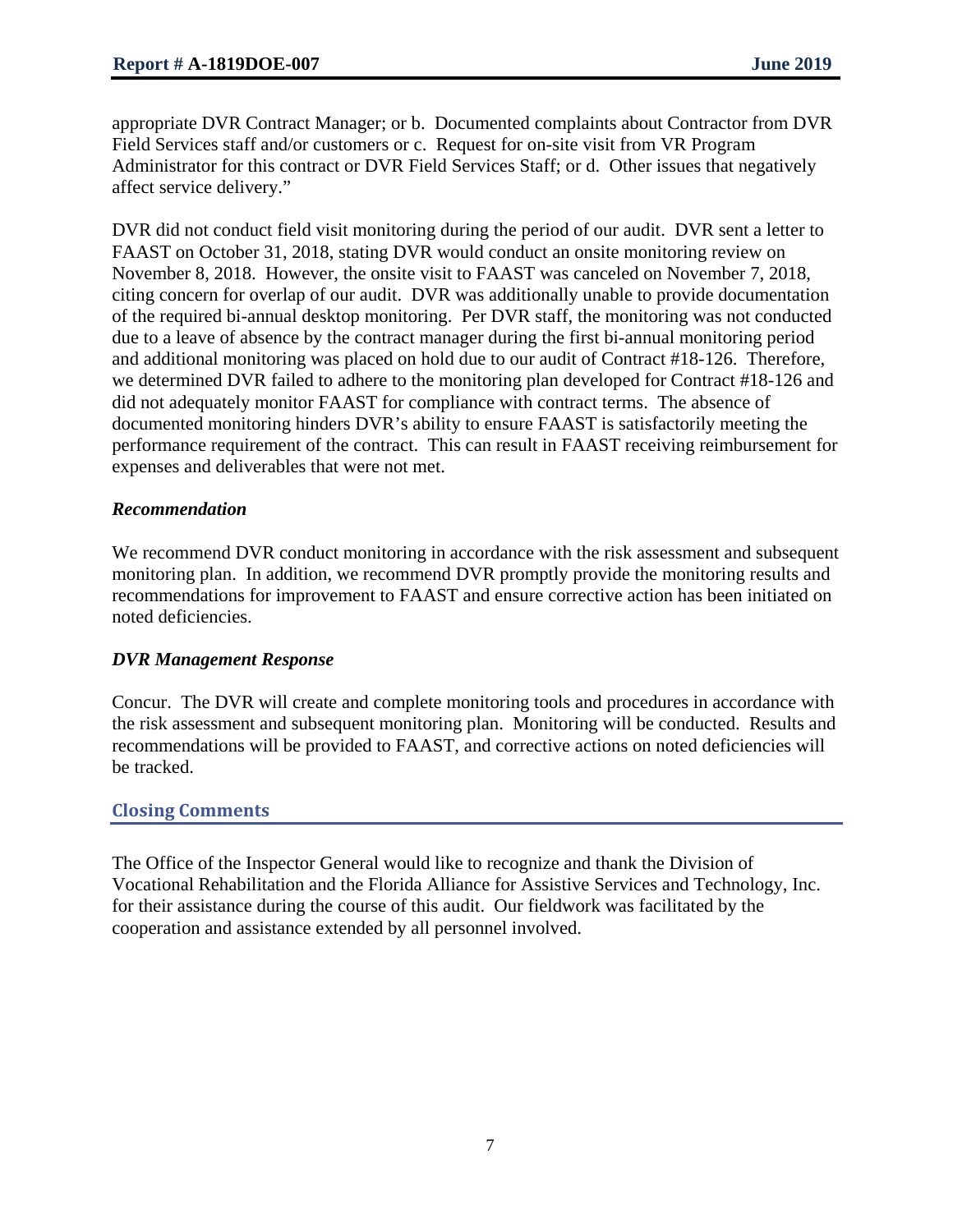appropriate DVR Contract Manager; or b. Documented complaints about Contractor from DVR Field Services staff and/or customers or c. Request for on-site visit from VR Program Administrator for this contract or DVR Field Services Staff; or d. Other issues that negatively affect service delivery."

DVR did not conduct field visit monitoring during the period of our audit. DVR sent a letter to FAAST on October 31, 2018, stating DVR would conduct an onsite monitoring review on November 8, 2018. However, the onsite visit to FAAST was canceled on November 7, 2018, citing concern for overlap of our audit. DVR was additionally unable to provide documentation of the required bi-annual desktop monitoring. Per DVR staff, the monitoring was not conducted due to a leave of absence by the contract manager during the first bi-annual monitoring period and additional monitoring was placed on hold due to our audit of Contract #18-126. Therefore, we determined DVR failed to adhere to the monitoring plan developed for Contract #18-126 and did not adequately monitor FAAST for compliance with contract terms. The absence of documented monitoring hinders DVR's ability to ensure FAAST is satisfactorily meeting the performance requirement of the contract. This can result in FAAST receiving reimbursement for expenses and deliverables that were not met.

#### *Recommendation*

We recommend DVR conduct monitoring in accordance with the risk assessment and subsequent monitoring plan. In addition, we recommend DVR promptly provide the monitoring results and recommendations for improvement to FAAST and ensure corrective action has been initiated on noted deficiencies.

#### *DVR Management Response*

Concur. The DVR will create and complete monitoring tools and procedures in accordance with the risk assessment and subsequent monitoring plan. Monitoring will be conducted. Results and recommendations will be provided to FAAST, and corrective actions on noted deficiencies will be tracked.

#### **Closing Comments**

The Office of the Inspector General would like to recognize and thank the Division of Vocational Rehabilitation and the Florida Alliance for Assistive Services and Technology, Inc. for their assistance during the course of this audit. Our fieldwork was facilitated by the cooperation and assistance extended by all personnel involved.